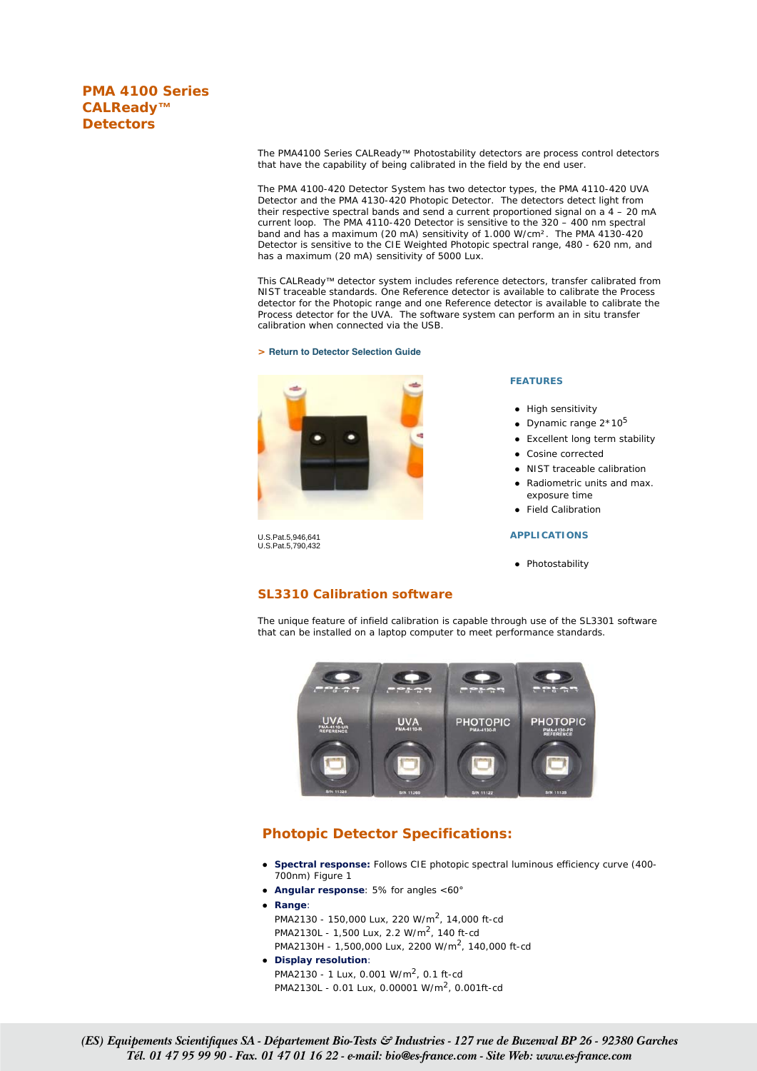# *PMA 4100 Series CALReady™ Detectors*

The PMA4100 Series CALReady™ Photostability detectors are process control detectors that have the capability of being calibrated in the field by the end user.

The PMA 4100-420 Detector System has two detector types, the PMA 4110-420 UVA Detector and the PMA 4130-420 Photopic Detector. The detectors detect light from their respective spectral bands and send a current proportioned signal on a 4 – 20 mA current loop. The PMA 4110-420 Detector is sensitive to the 320 – 400 nm spectral band and has a maximum (20 mA) sensitivity of 1.000 W/cm². The PMA 4130-420 Detector is sensitive to the CIE Weighted Photopic spectral range, 480 - 620 nm, and has a maximum (20 mA) sensitivity of 5000 Lux.

This CALReady™ detector system includes reference detectors, transfer calibrated from NIST traceable standards. One Reference detector is available to calibrate the Process detector for the Photopic range and one Reference detector is available to calibrate the Process detector for the UVA. The software system can perform an *in situ* transfer calibration when connected via the USB.

### **> Return to Detector Selection Guide**



U.S.Pat.5,946,641 U.S.Pat.5,790,432

#### **FEATURES**

- High sensitivity
- Dynamic range  $2*10^5$
- Excellent long term stability
- Cosine corrected
- NIST traceable calibration
- Radiometric units and max. exposure time
- Field Calibration

### **APPLICATIONS**

• Photostability

## **SL3310 Calibration software**

The unique feature of infield calibration is capable through use of the SL3301 software that can be installed on a laptop computer to meet performance standards.



# **Photopic Detector Specifications:**

- **Spectral response:** Follows CIE photopic spectral luminous efficiency curve (400-700nm) Figure 1
- **Angular response**: 5% for angles <60°
- z **Range**:
- PMA2130 150,000 Lux, 220 W/m2, 14,000 ft-cd PMA2130L - 1,500 Lux, 2.2 W/m<sup>2</sup>, 140 ft-cd PMA2130H - 1,500,000 Lux, 2200 W/m2, 140,000 ft-cd
- **Display resolution:** PMA2130 - 1 Lux, 0.001 W/m2, 0.1 ft-cd PMA2130L - 0.01 Lux, 0.00001 W/m2, 0.001ft-cd

*(ES) Equipements Scientifiques SA - Département Bio-Tests & Industries - 127 rue de Buzenval BP 26 - 92380 Garches Tél. 01 47 95 99 90 - Fax. 01 47 01 16 22 - e-mail: bio@es-france.com - Site Web: www.es-france.com*